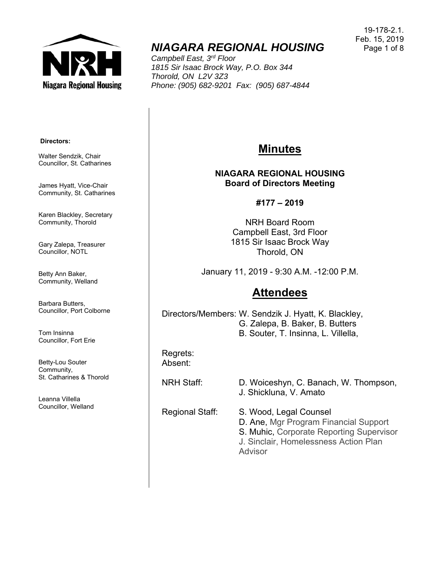

# *NIAGARA REGIONAL HOUSING*

*Campbell East, 3rd Floor 1815 Sir Isaac Brock Way, P.O. Box 344 Thorold, ON L2V 3Z3 Phone: (905) 682-9201 Fax: (905) 687-4844* 

19-178-2.1. Feb. 15, 2019 Page 1 of 8

#### **Directors:**

Walter Sendzik, Chair Councillor, St. Catharines

James Hyatt, Vice-Chair Community, St. Catharines

Karen Blackley, Secretary Community, Thorold

Gary Zalepa, Treasurer Councillor, NOTL

Betty Ann Baker, Community, Welland

Barbara Butters, Councillor, Port Colborne

Tom Insinna Councillor, Fort Erie

Betty-Lou Souter Community, St. Catharines & Thorold

Leanna Villella Councillor, Welland

## **Minutes**

#### **NIAGARA REGIONAL HOUSING Board of Directors Meeting**

**#177 – 2019** 

NRH Board Room Campbell East, 3rd Floor 1815 Sir Isaac Brock Way Thorold, ON

January 11, 2019 - 9:30 A.M. -12:00 P.M.

## **Attendees**

Directors/Members: W. Sendzik J. Hyatt, K. Blackley, G. Zalepa, B. Baker, B. Butters B. Souter, T. Insinna, L. Villella,

Regrets: Absent:

NRH Staff: D. Woiceshyn, C. Banach, W. Thompson, J. Shickluna, V. Amato

Regional Staff: S. Wood, Legal Counsel D. Ane, Mgr Program Financial Support S. Muhic, Corporate Reporting Supervisor J. Sinclair, Homelessness Action Plan Advisor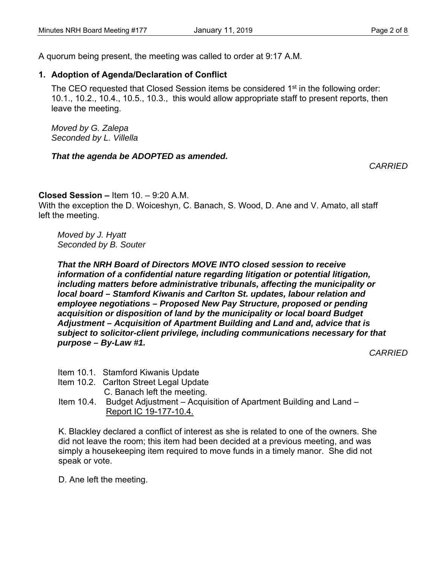A quorum being present, the meeting was called to order at 9:17 A.M.

### **1. Adoption of Agenda/Declaration of Conflict**

The CEO requested that Closed Session items be considered 1<sup>st</sup> in the following order: 10.1., 10.2., 10.4., 10.5., 10.3., this would allow appropriate staff to present reports, then leave the meeting.

*Moved by G. Zalepa Seconded by L. Villella*

#### *That the agenda be ADOPTED as amended.*

*CARRIED* 

#### **Closed Session –** Item 10. – 9:20 A.M.

With the exception the D. Woiceshyn, C. Banach, S. Wood, D. Ane and V. Amato, all staff left the meeting.

*Moved by J. Hyatt Seconded by B. Souter* 

*That the NRH Board of Directors MOVE INTO closed session to receive information of a confidential nature regarding litigation or potential litigation, including matters before administrative tribunals, affecting the municipality or local board – Stamford Kiwanis and Carlton St. updates, labour relation and employee negotiations – Proposed New Pay Structure, proposed or pending acquisition or disposition of land by the municipality or local board Budget Adjustment – Acquisition of Apartment Building and Land and, advice that is subject to solicitor-client privilege, including communications necessary for that purpose – By-Law #1.* 

*CARRIED* 

- Item 10.1. Stamford Kiwanis Update
- Item 10.2. Carlton Street Legal Update
	- C. Banach left the meeting.
- Item 10.4. Budget Adjustment Acquisition of Apartment Building and Land Report IC 19-177-10.4.

K. Blackley declared a conflict of interest as she is related to one of the owners. She did not leave the room; this item had been decided at a previous meeting, and was simply a housekeeping item required to move funds in a timely manor. She did not speak or vote.

D. Ane left the meeting.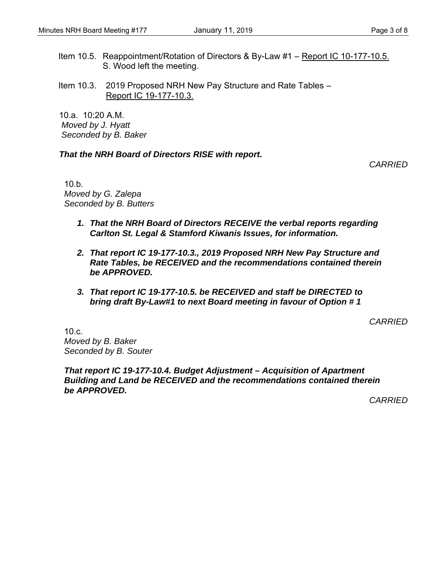Item 10.5. Reappointment/Rotation of Directors & By-Law #1 – Report IC 10-177-10.5. S. Wood left the meeting.

Item 10.3. 2019 Proposed NRH New Pay Structure and Rate Tables – Report IC 19-177-10.3.

 $10a$   $10:20$  A M  *Moved by J. Hyatt Seconded by B. Baker* 

#### *That the NRH Board of Directors RISE with report.*

*CARRIED* 

10.b. *Moved by G. Zalepa Seconded by B. Butters* 

- *1. That the NRH Board of Directors RECEIVE the verbal reports regarding Carlton St. Legal & Stamford Kiwanis Issues, for information.*
- *2. That report IC 19-177-10.3., 2019 Proposed NRH New Pay Structure and Rate Tables, be RECEIVED and the recommendations contained therein be APPROVED.*
- *3. That report IC 19-177-10.5. be RECEIVED and staff be DIRECTED to bring draft By-Law#1 to next Board meeting in favour of Option # 1*

*CARRIED*

 $10.c.$ *Moved by B. Baker Seconded by B. Souter* 

*That report IC 19-177-10.4. Budget Adjustment – Acquisition of Apartment Building and Land be RECEIVED and the recommendations contained therein be APPROVED.*

*CARRIED*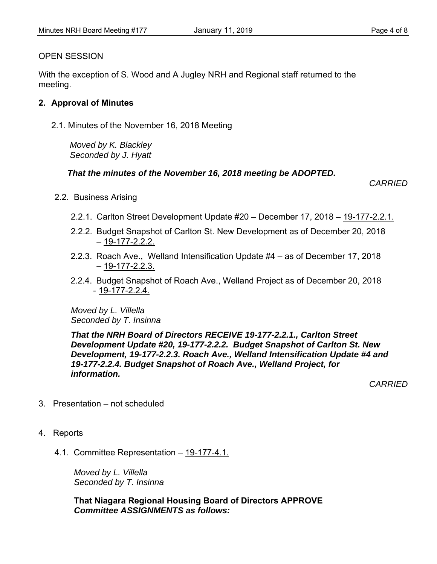#### OPEN SESSION

With the exception of S. Wood and A Jugley NRH and Regional staff returned to the meeting.

#### **2. Approval of Minutes**

2.1. Minutes of the November 16, 2018 Meeting

 *Moved by K. Blackley Seconded by J. Hyatt*

#### *That the minutes of the November 16, 2018 meeting be ADOPTED.*

 *CARRIED* 

- 2.2. Business Arising
	- 2.2.1. Carlton Street Development Update #20 December 17, 2018 19-177-2.2.1.
	- 2.2.2. Budget Snapshot of Carlton St. New Development as of December 20, 2018  $-19-177-2.2.2$
	- 2.2.3. Roach Ave., Welland Intensification Update #4 as of December 17, 2018  $-19-177-2.2.3.$
	- 2.2.4. Budget Snapshot of Roach Ave., Welland Project as of December 20, 2018 - 19-177-2.2.4.

*Moved by L. Villella Seconded by T. Insinna* 

*That the NRH Board of Directors RECEIVE 19-177-2.2.1., Carlton Street Development Update #20, 19-177-2.2.2. Budget Snapshot of Carlton St. New Development, 19-177-2.2.3. Roach Ave., Welland Intensification Update #4 and 19-177-2.2.4. Budget Snapshot of Roach Ave., Welland Project, for information.* 

*CARRIED* 

- 3. Presentation not scheduled
- 4. Reports
	- 4.1. Committee Representation 19-177-4.1.

*Moved by L. Villella Seconded by T. Insinna*

**That Niagara Regional Housing Board of Directors APPROVE**  *Committee ASSIGNMENTS as follows:*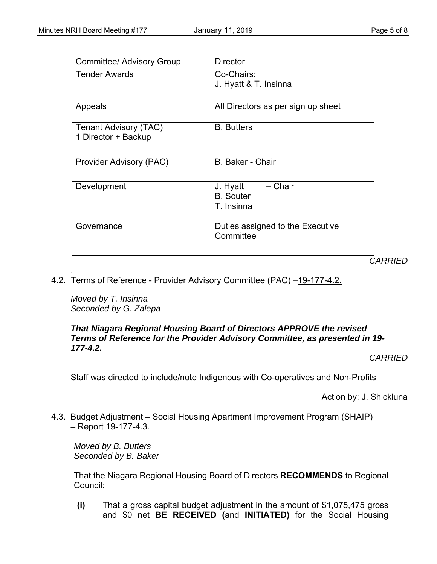| <b>Committee/ Advisory Group</b>             | <b>Director</b>                                       |
|----------------------------------------------|-------------------------------------------------------|
| <b>Tender Awards</b>                         | Co-Chairs:<br>J. Hyatt & T. Insinna                   |
| Appeals                                      | All Directors as per sign up sheet                    |
| Tenant Advisory (TAC)<br>1 Director + Backup | <b>B.</b> Butters                                     |
| Provider Advisory (PAC)                      | <b>B. Baker - Chair</b>                               |
| Development                                  | – Chair<br>J. Hyatt<br><b>B.</b> Souter<br>T. Insinna |
| Governance                                   | Duties assigned to the Executive<br>Committee<br>៱៱៸  |

*CARRIED* 

4.2. Terms of Reference - Provider Advisory Committee (PAC) -19-177-4.2.

*Moved by T. Insinna Seconded by G. Zalepa* 

.

#### *That Niagara Regional Housing Board of Directors APPROVE the revised Terms of Reference for the Provider Advisory Committee, as presented in 19- 177-4.2.*

*CARRIED* 

Staff was directed to include/note Indigenous with Co-operatives and Non-Profits

Action by: J. Shickluna

4.3. Budget Adjustment – Social Housing Apartment Improvement Program (SHAIP) – Report 19-177-4.3.

*Moved by B. Butters Seconded by B. Baker* 

That the Niagara Regional Housing Board of Directors **RECOMMENDS** to Regional Council:

**(i)** That a gross capital budget adjustment in the amount of \$1,075,475 gross and \$0 net **BE RECEIVED (**and **INITIATED)** for the Social Housing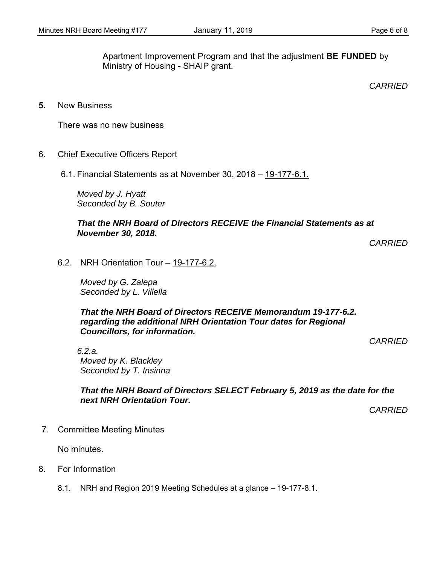Apartment Improvement Program and that the adjustment **BE FUNDED** by Ministry of Housing - SHAIP grant.

*CARRIED* 

**5.** New Business

There was no new business

- 6. Chief Executive Officers Report
	- 6.1. Financial Statements as at November 30, 2018 19-177-6.1.

*Moved by J. Hyatt Seconded by B. Souter*

#### *That the NRH Board of Directors RECEIVE the Financial Statements as at November 30, 2018.*

*CARRIED* 

6.2. NRH Orientation Tour – 19-177-6.2.

*Moved by G. Zalepa Seconded by L. Villella* 

*That the NRH Board of Directors RECEIVE Memorandum 19-177-6.2. regarding the additional NRH Orientation Tour dates for Regional Councillors, for information.* 

*CARRIED* 

*6.2.a. Moved by K. Blackley Seconded by T. Insinna* 

*That the NRH Board of Directors SELECT February 5, 2019 as the date for the next NRH Orientation Tour.* 

*CARRIED* 

7. Committee Meeting Minutes

No minutes.

- 8. For Information
	- 8.1. NRH and Region 2019 Meeting Schedules at a glance 19-177-8.1.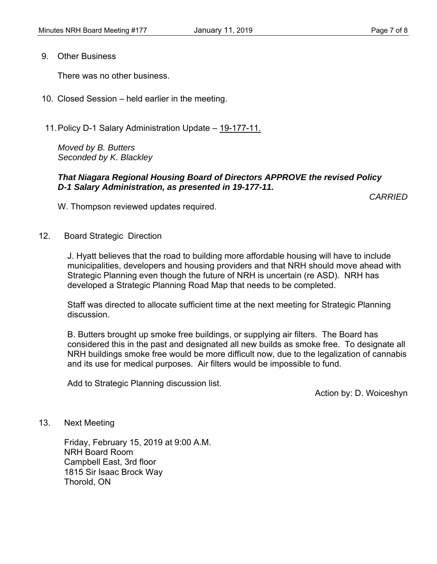9. Other Business

There was no other business.

- 10. Closed Session held earlier in the meeting.
- 11. Policy D-1 Salary Administration Update 19-177-11.

*Moved by B. Butters Seconded by K. Blackley* 

#### *That Niagara Regional Housing Board of Directors APPROVE the revised Policy D-1 Salary Administration, as presented in 19-177-11.*

*CARRIED*

W. Thompson reviewed updates required.

12. Board Strategic Direction

J. Hyatt believes that the road to building more affordable housing will have to include municipalities, developers and housing providers and that NRH should move ahead with Strategic Planning even though the future of NRH is uncertain (re ASD). NRH has developed a Strategic Planning Road Map that needs to be completed.

Staff was directed to allocate sufficient time at the next meeting for Strategic Planning discussion.

B. Butters brought up smoke free buildings, or supplying air filters. The Board has considered this in the past and designated all new builds as smoke free. To designate all NRH buildings smoke free would be more difficult now, due to the legalization of cannabis and its use for medical purposes. Air filters would be impossible to fund.

Add to Strategic Planning discussion list.

Action by: D. Woiceshyn

13. Next Meeting

Friday, February 15, 2019 at 9:00 A.M. NRH Board Room Campbell East, 3rd floor 1815 Sir Isaac Brock Way Thorold, ON